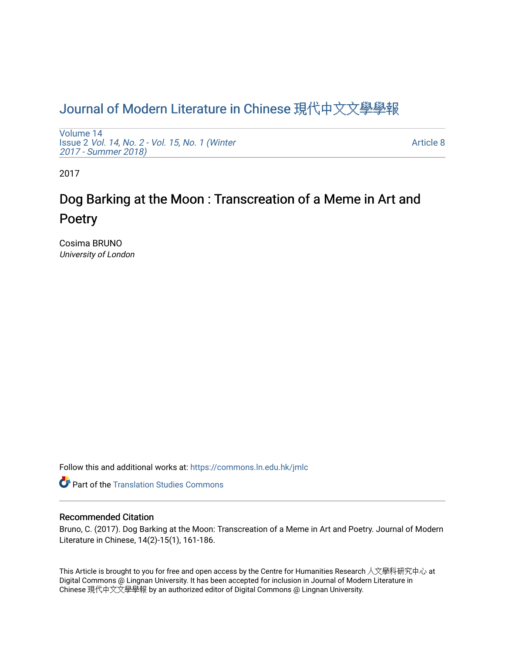## [Journal of Modern Literature in Chinese](https://commons.ln.edu.hk/jmlc) 現代中文文學學報

[Volume 14](https://commons.ln.edu.hk/jmlc/vol14) Issue 2 [Vol. 14, No. 2 - Vol. 15, No. 1 \(Winter](https://commons.ln.edu.hk/jmlc/vol14/iss2) [2017 - Summer 2018\)](https://commons.ln.edu.hk/jmlc/vol14/iss2) 

[Article 8](https://commons.ln.edu.hk/jmlc/vol14/iss2/8) 

2017

# Dog Barking at the Moon : Transcreation of a Meme in Art and Poetry

Cosima BRUNO University of London

Follow this and additional works at: [https://commons.ln.edu.hk/jmlc](https://commons.ln.edu.hk/jmlc?utm_source=commons.ln.edu.hk%2Fjmlc%2Fvol14%2Fiss2%2F8&utm_medium=PDF&utm_campaign=PDFCoverPages) 

**Part of the [Translation Studies Commons](http://network.bepress.com/hgg/discipline/1312?utm_source=commons.ln.edu.hk%2Fjmlc%2Fvol14%2Fiss2%2F8&utm_medium=PDF&utm_campaign=PDFCoverPages)** 

## Recommended Citation

Bruno, C. (2017). Dog Barking at the Moon: Transcreation of a Meme in Art and Poetry. Journal of Modern Literature in Chinese, 14(2)-15(1), 161-186.

This Article is brought to you for free and open access by the Centre for Humanities Research 人文學科研究中心 at Digital Commons @ Lingnan University. It has been accepted for inclusion in Journal of Modern Literature in Chinese 現代中文文學學報 by an authorized editor of Digital Commons @ Lingnan University.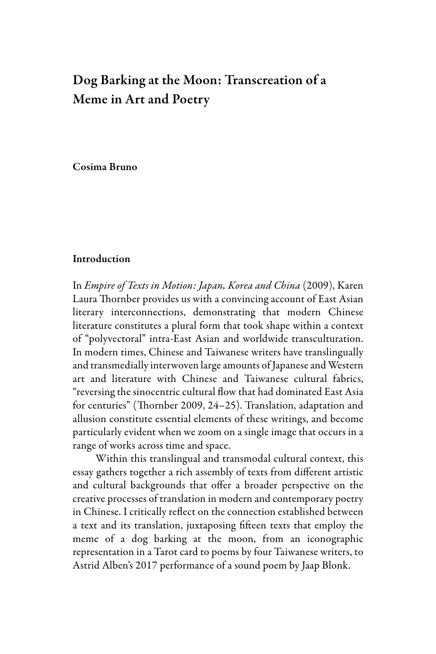## Dog Barking at the Moon: Transcreation of a Meme in Art and Poetry

Cosima Bruno

## Introduction

In *Empire of Texts in Motion: Japan, Korea and China* (2009), Karen Laura Thornber provides us with a convincing account of East Asian literary interconnections, demonstrating that modern Chinese literature constitutes a plural form that took shape within a context of "polyvectoral" intra-East Asian and worldwide transculturation. In modern times, Chinese and Taiwanese writers have translingually and transmedially interwoven large amounts of Japanese and Western art and literature with Chinese and Taiwanese cultural fabrics, "reversing the sinocentric cultural flow that had dominated East Asia for centuries" (Thornber 2009, 24–25). Translation, adaptation and allusion constitute essential elements of these writings, and become particularly evident when we zoom on a single image that occurs in a range of works across time and space.

Within this translingual and transmodal cultural context, this essay gathers together a rich assembly of texts from different artistic and cultural backgrounds that offer a broader perspective on the creative processes of translation in modern and contemporary poetry in Chinese. I critically reflect on the connection established between a text and its translation, juxtaposing fifteen texts that employ the meme of a dog barking at the moon, from an iconographic representation in a Tarot card to poems by four Taiwanese writers, to Astrid Alben's 2017 performance of a sound poem by Jaap Blonk.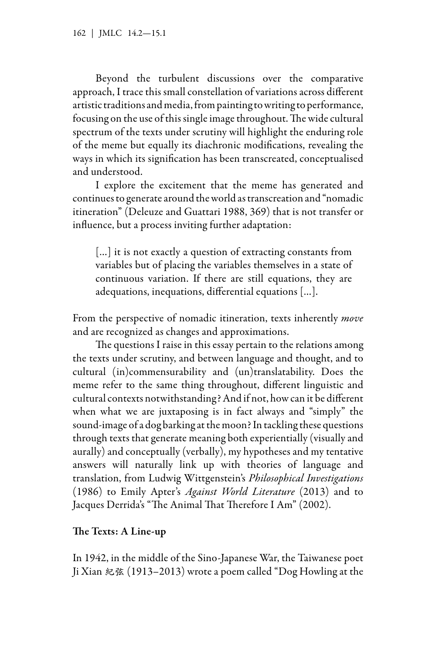Beyond the turbulent discussions over the comparative approach, I trace this small constellation of variations across different artistic traditions and media, from painting to writing to performance, focusing on the use of this single image throughout. The wide cultural spectrum of the texts under scrutiny will highlight the enduring role of the meme but equally its diachronic modifications, revealing the ways in which its signification has been transcreated, conceptualised and understood.

I explore the excitement that the meme has generated and continues to generate around the world as transcreation and "nomadic itineration" (Deleuze and Guattari 1988, 369) that is not transfer or influence, but a process inviting further adaptation:

[...] it is not exactly a question of extracting constants from variables but of placing the variables themselves in a state of continuous variation. If there are still equations, they are adequations, inequations, differential equations […].

From the perspective of nomadic itineration, texts inherently *move* and are recognized as changes and approximations.

The questions I raise in this essay pertain to the relations among the texts under scrutiny, and between language and thought, and to cultural (in)commensurability and (un)translatability. Does the meme refer to the same thing throughout, different linguistic and cultural contexts notwithstanding? And if not, how can it be different when what we are juxtaposing is in fact always and "simply" the sound-image of a dog barking at the moon? In tackling these questions through texts that generate meaning both experientially (visually and aurally) and conceptually (verbally), my hypotheses and my tentative answers will naturally link up with theories of language and translation, from Ludwig Wittgenstein's *Philosophical Investigations* (1986) to Emily Apter's *Against World Literature* (2013) and to Jacques Derrida's "The Animal That Therefore I Am" (2002).

## The Texts: A Line-up

In 1942, in the middle of the Sino-Japanese War, the Taiwanese poet Ji Xian 紀弦 (1913–2013) wrote a poem called "Dog Howling at the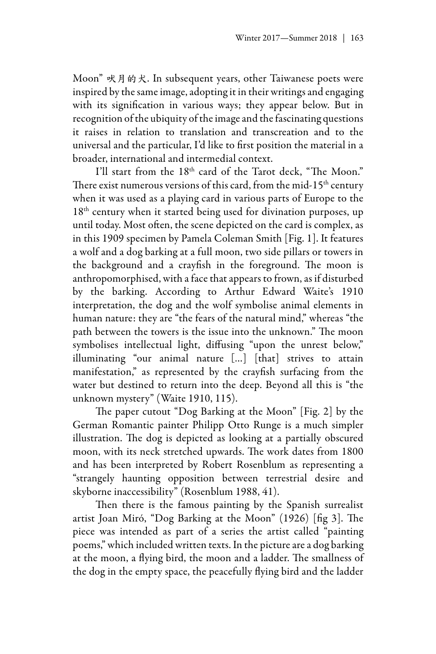Moon" 吠月的犬. In subsequent years, other Taiwanese poets were inspired by the same image, adopting it in their writings and engaging with its signification in various ways; they appear below. But in recognition of the ubiquity of the image and the fascinating questions it raises in relation to translation and transcreation and to the universal and the particular, I'd like to first position the material in a broader, international and intermedial context.

I'll start from the 18<sup>th</sup> card of the Tarot deck, "The Moon." There exist numerous versions of this card, from the mid-15<sup>th</sup> century when it was used as a playing card in various parts of Europe to the 18<sup>th</sup> century when it started being used for divination purposes, up until today. Most often, the scene depicted on the card is complex, as in this 1909 specimen by Pamela Coleman Smith [Fig. 1]. It features a wolf and a dog barking at a full moon, two side pillars or towers in the background and a crayfish in the foreground. The moon is anthropomorphised, with a face that appears to frown, as if disturbed by the barking. According to Arthur Edward Waite's 1910 interpretation, the dog and the wolf symbolise animal elements in human nature: they are "the fears of the natural mind," whereas "the path between the towers is the issue into the unknown." The moon symbolises intellectual light, diffusing "upon the unrest below," illuminating "our animal nature […] [that] strives to attain manifestation," as represented by the crayfish surfacing from the water but destined to return into the deep. Beyond all this is "the unknown mystery" (Waite 1910, 115).

The paper cutout "Dog Barking at the Moon" [Fig. 2] by the German Romantic painter Philipp Otto Runge is a much simpler illustration. The dog is depicted as looking at a partially obscured moon, with its neck stretched upwards. The work dates from 1800 and has been interpreted by Robert Rosenblum as representing a "strangely haunting opposition between terrestrial desire and skyborne inaccessibility" (Rosenblum 1988, 41).

Then there is the famous painting by the Spanish surrealist artist Joan Miró, "Dog Barking at the Moon" (1926) [fig 3]. The piece was intended as part of a series the artist called "painting poems," which included written texts. In the picture are a dog barking at the moon, a flying bird, the moon and a ladder. The smallness of the dog in the empty space, the peacefully flying bird and the ladder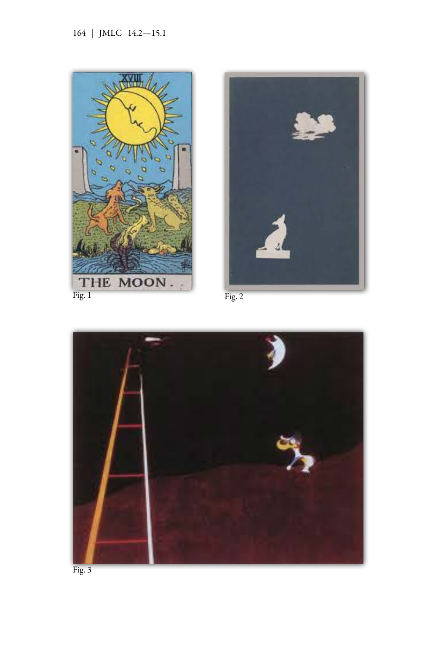





Fig. 3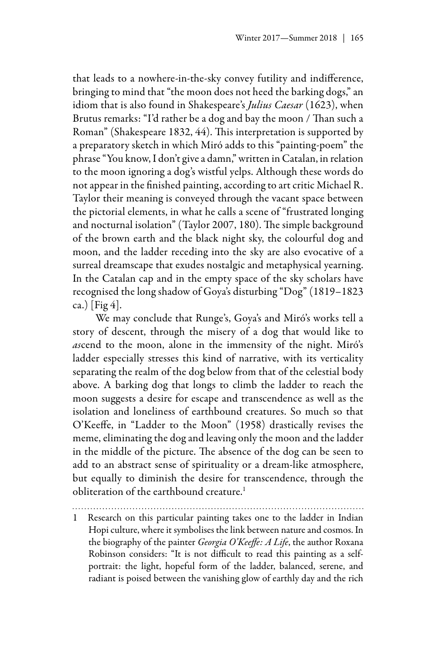that leads to a nowhere-in-the-sky convey futility and indifference, bringing to mind that "the moon does not heed the barking dogs," an idiom that is also found in Shakespeare's *Julius Caesar* (1623), when Brutus remarks: "I'd rather be a dog and bay the moon / Than such a Roman" (Shakespeare 1832, 44). This interpretation is supported by a preparatory sketch in which Miró adds to this "painting-poem" the phrase "You know, I don't give a damn," written in Catalan, in relation to the moon ignoring a dog's wistful yelps. Although these words do not appear in the finished painting, according to art critic Michael R. Taylor their meaning is conveyed through the vacant space between the pictorial elements, in what he calls a scene of "frustrated longing and nocturnal isolation" (Taylor 2007, 180). The simple background of the brown earth and the black night sky, the colourful dog and moon, and the ladder receding into the sky are also evocative of a surreal dreamscape that exudes nostalgic and metaphysical yearning. In the Catalan cap and in the empty space of the sky scholars have recognised the long shadow of Goya's disturbing "Dog" (1819–1823 ca.) [Fig 4].

We may conclude that Runge's, Goya's and Miró's works tell a story of descent, through the misery of a dog that would like to *as*cend to the moon, alone in the immensity of the night. Miró's ladder especially stresses this kind of narrative, with its verticality separating the realm of the dog below from that of the celestial body above. A barking dog that longs to climb the ladder to reach the moon suggests a desire for escape and transcendence as well as the isolation and loneliness of earthbound creatures. So much so that O'Keeffe, in "Ladder to the Moon" (1958) drastically revises the meme, eliminating the dog and leaving only the moon and the ladder in the middle of the picture. The absence of the dog can be seen to add to an abstract sense of spirituality or a dream-like atmosphere, but equally to diminish the desire for transcendence, through the obliteration of the earthbound creature.<sup>1</sup>

1 Research on this particular painting takes one to the ladder in Indian Hopi culture, where it symbolises the link between nature and cosmos. In the biography of the painter *Georgia O'Keeffe: A Life*, the author Roxana Robinson considers: "It is not difficult to read this painting as a selfportrait: the light, hopeful form of the ladder, balanced, serene, and radiant is poised between the vanishing glow of earthly day and the rich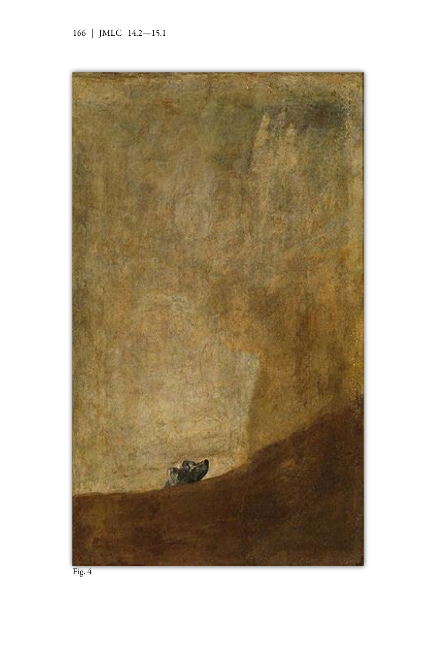

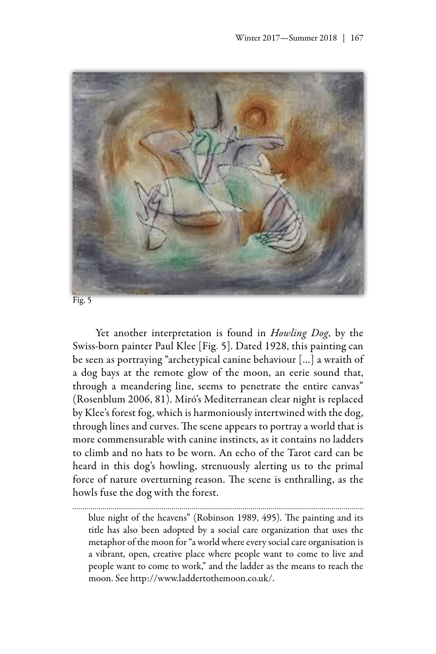

Yet another interpretation is found in *Howling Dog*, by the Swiss-born painter Paul Klee [Fig. 5]. Dated 1928, this painting can be seen as portraying "archetypical canine behaviour […] a wraith of a dog bays at the remote glow of the moon, an eerie sound that, through a meandering line, seems to penetrate the entire canvas" (Rosenblum 2006, 81). Miró's Mediterranean clear night is replaced by Klee's forest fog, which is harmoniously intertwined with the dog, through lines and curves. The scene appears to portray a world that is more commensurable with canine instincts, as it contains no ladders to climb and no hats to be worn. An echo of the Tarot card can be heard in this dog's howling, strenuously alerting us to the primal force of nature overturning reason. The scene is enthralling, as the howls fuse the dog with the forest.

blue night of the heavens" (Robinson 1989, 495). The painting and its title has also been adopted by a social care organization that uses the metaphor of the moon for "a world where every social care organisation is a vibrant, open, creative place where people want to come to live and people want to come to work," and the ladder as the means to reach the moon. See [http://www.laddertothemoon.co.uk/.](http://www.laddertothemoon.co.uk/)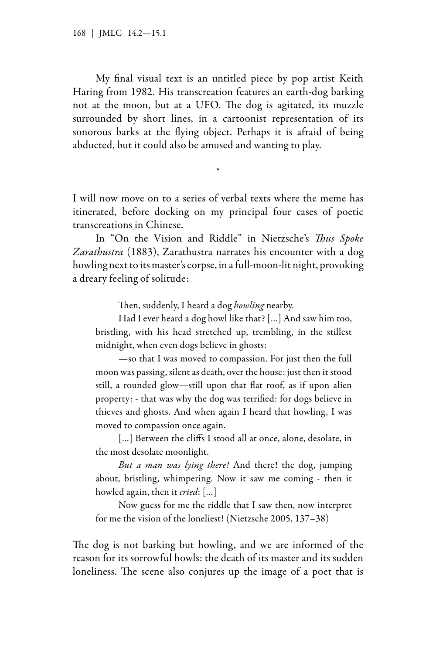My final visual text is an untitled piece by pop artist Keith Haring from 1982. His transcreation features an earth-dog barking not at the moon, but at a UFO. The dog is agitated, its muzzle surrounded by short lines, in a cartoonist representation of its sonorous barks at the flying object. Perhaps it is afraid of being abducted, but it could also be amused and wanting to play.

I will now move on to a series of verbal texts where the meme has itinerated, before docking on my principal four cases of poetic transcreations in Chinese.

\*

In "On the Vision and Riddle" in Nietzsche's *Thus Spoke Zarathustra* (1883), Zarathustra narrates his encounter with a dog howling next to its master's corpse, in a full-moon-lit night, provoking a dreary feeling of solitude:

Then, suddenly, I heard a dog *howling* nearby.

Had I ever heard a dog howl like that? […] And saw him too, bristling, with his head stretched up, trembling, in the stillest midnight, when even dogs believe in ghosts:

—so that I was moved to compassion. For just then the full moon was passing, silent as death, over the house: just then it stood still, a rounded glow—still upon that flat roof, as if upon alien property: - that was why the dog was terrified: for dogs believe in thieves and ghosts. And when again I heard that howling, I was moved to compassion once again.

[...] Between the cliffs I stood all at once, alone, desolate, in the most desolate moonlight.

*But a man was lying there!* And there! the dog, jumping about, bristling, whimpering. Now it saw me coming - then it howled again, then it *cried*: […]

Now guess for me the riddle that I saw then, now interpret for me the vision of the loneliest! (Nietzsche 2005, 137–38)

The dog is not barking but howling, and we are informed of the reason for its sorrowful howls: the death of its master and its sudden loneliness. The scene also conjures up the image of a poet that is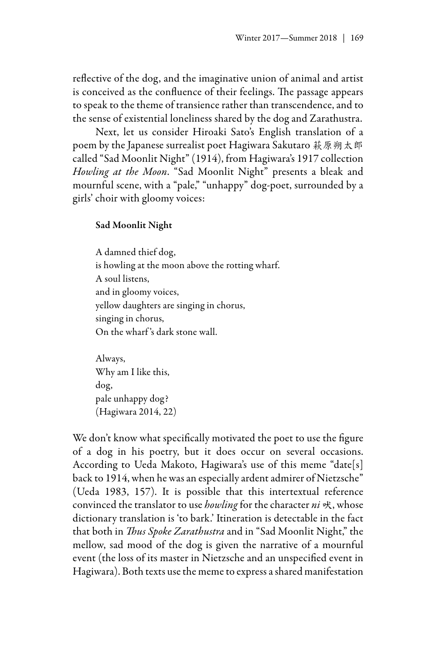reflective of the dog, and the imaginative union of animal and artist is conceived as the confluence of their feelings. The passage appears to speak to the theme of transience rather than transcendence, and to the sense of existential loneliness shared by the dog and Zarathustra.

Next, let us consider Hiroaki Sato's English translation of a poem by the Japanese surrealist poet Hagiwara Sakutaro 萩原朔太郎 called "Sad Moonlit Night" (1914), from Hagiwara's 1917 collection *Howling at the Moon*. "Sad Moonlit Night" presents a bleak and mournful scene, with a "pale," "unhappy" dog-poet, surrounded by a girls' choir with gloomy voices:

## Sad Moonlit Night

A damned thief dog, is howling at the moon above the rotting wharf. A soul listens, and in gloomy voices, yellow daughters are singing in chorus, singing in chorus, On the wharf 's dark stone wall.

Always, Why am I like this, dog, pale unhappy dog? (Hagiwara 2014, 22)

We don't know what specifically motivated the poet to use the figure of a dog in his poetry, but it does occur on several occasions. According to Ueda Makoto, Hagiwara's use of this meme "date[s] back to 1914, when he was an especially ardent admirer of Nietzsche" (Ueda 1983, 157). It is possible that this intertextual reference convinced the translator to use *howling* for the character *ni* 吠, whose dictionary translation is 'to bark.' Itineration is detectable in the fact that both in *Thus Spoke Zarathustra* and in "Sad Moonlit Night," the mellow, sad mood of the dog is given the narrative of a mournful event (the loss of its master in Nietzsche and an unspecified event in Hagiwara). Both texts use the meme to express a shared manifestation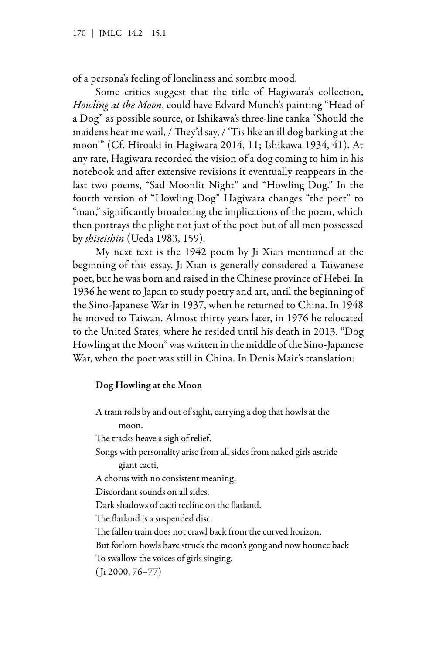of a persona's feeling of loneliness and sombre mood.

Some critics suggest that the title of Hagiwara's collection, *Howling at the Moon*, could have Edvard Munch's painting "Head of a Dog" as possible source, or Ishikawa's three-line tanka "Should the maidens hear me wail, / They'd say, / 'Tis like an ill dog barking at the moon'" (Cf. Hiroaki in Hagiwara 2014, 11; Ishikawa 1934, 41). At any rate, Hagiwara recorded the vision of a dog coming to him in his notebook and after extensive revisions it eventually reappears in the last two poems, "Sad Moonlit Night" and "Howling Dog." In the fourth version of "Howling Dog" Hagiwara changes "the poet" to "man," significantly broadening the implications of the poem, which then portrays the plight not just of the poet but of all men possessed by *shiseishin* (Ueda 1983, 159).

My next text is the 1942 poem by Ji Xian mentioned at the beginning of this essay. Ji Xian is generally considered a Taiwanese poet, but he was born and raised in the Chinese province of Hebei. In 1936 he went to Japan to study poetry and art, until the beginning of the Sino-Japanese War in 1937, when he returned to China. In 1948 he moved to Taiwan. Almost thirty years later, in 1976 he relocated to the United States, where he resided until his death in 2013. "Dog Howling at the Moon" was written in the middle of the Sino-Japanese War, when the poet was still in China. In Denis Mair's translation:

## Dog Howling at the Moon

A train rolls by and out of sight, carrying a dog that howls at the moon. The tracks heave a sigh of relief. Songs with personality arise from all sides from naked girls astride giant cacti, A chorus with no consistent meaning, Discordant sounds on all sides. Dark shadows of cacti recline on the flatland. The flatland is a suspended disc. The fallen train does not crawl back from the curved horizon, But forlorn howls have struck the moon's gong and now bounce back To swallow the voices of girls singing. ( Ji 2000, 76–77)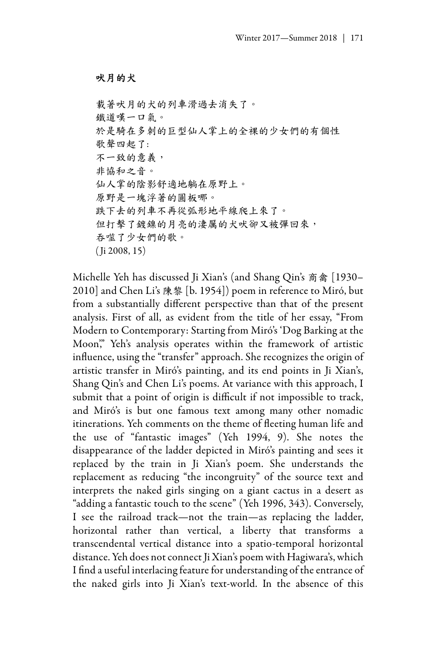#### 吠月的犬

載著吠月的犬的列車滑過去消失了。 鐵道嘆一口氣。 於是騎在多刺的巨型仙人掌上的全裸的少女們的有個性 歌聲四起了: 不一致的意義, 非協和之音。 仙人掌的陰影舒適地躺在原野上。 原野是一塊浮著的圓板哪。 跌下去的列車不再從弧形地平線爬上來了。 但打擊了鍍鎳的月亮的淒厲的犬吠卻又被彈回來, 吞噬了少女們的歌。 ( Ji 2008, 15)

Michelle Yeh has discussed Ji Xian's (and Shang Qin's 商禽 [1930– 2010] and Chen Li's 陳黎 [b. 1954]) poem in reference to Miró, but from a substantially different perspective than that of the present analysis. First of all, as evident from the title of her essay, "From Modern to Contemporary: Starting from Miró's 'Dog Barking at the Moon," Yeh's analysis operates within the framework of artistic influence, using the "transfer" approach. She recognizes the origin of artistic transfer in Miró's painting, and its end points in Ji Xian's, Shang Qin's and Chen Li's poems. At variance with this approach, I submit that a point of origin is difficult if not impossible to track, and Miró's is but one famous text among many other nomadic itinerations. Yeh comments on the theme of fleeting human life and the use of "fantastic images" (Yeh 1994, 9). She notes the disappearance of the ladder depicted in Miró's painting and sees it replaced by the train in Ji Xian's poem. She understands the replacement as reducing "the incongruity" of the source text and interprets the naked girls singing on a giant cactus in a desert as "adding a fantastic touch to the scene" (Yeh 1996, 343). Conversely, I see the railroad track—not the train—as replacing the ladder, horizontal rather than vertical, a liberty that transforms a transcendental vertical distance into a spatio-temporal horizontal distance. Yeh does not connect Ji Xian's poem with Hagiwara's, which I find a useful interlacing feature for understanding of the entrance of the naked girls into Ji Xian's text-world. In the absence of this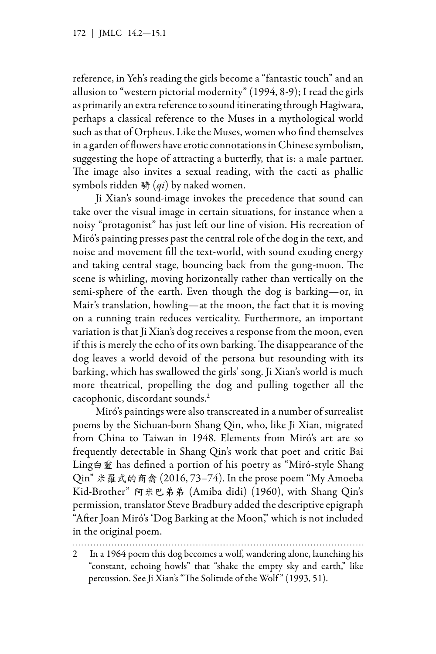reference, in Yeh's reading the girls become a "fantastic touch" and an allusion to "western pictorial modernity" (1994, 8-9); I read the girls as primarily an extra reference to sound itinerating through Hagiwara, perhaps a classical reference to the Muses in a mythological world such as that of Orpheus. Like the Muses, women who find themselves in a garden of flowers have erotic connotations in Chinese symbolism, suggesting the hope of attracting a butterfly, that is: a male partner. The image also invites a sexual reading, with the cacti as phallic symbols ridden 騎 (*qi*) by naked women.

Ji Xian's sound-image invokes the precedence that sound can take over the visual image in certain situations, for instance when a noisy "protagonist" has just left our line of vision. His recreation of Miró's painting presses past the central role of the dog in the text, and noise and movement fill the text-world, with sound exuding energy and taking central stage, bouncing back from the gong-moon. The scene is whirling, moving horizontally rather than vertically on the semi-sphere of the earth. Even though the dog is barking—or, in Mair's translation, howling—at the moon, the fact that it is moving on a running train reduces verticality. Furthermore, an important variation is that Ji Xian's dog receives a response from the moon, even if this is merely the echo of its own barking. The disappearance of the dog leaves a world devoid of the persona but resounding with its barking, which has swallowed the girls' song. Ji Xian's world is much more theatrical, propelling the dog and pulling together all the cacophonic, discordant sounds.2

Miró's paintings were also transcreated in a number of surrealist poems by the Sichuan-born Shang Qin, who, like Ji Xian, migrated from China to Taiwan in 1948. Elements from Miró's art are so frequently detectable in Shang Qin's work that poet and critic Bai Ling白靈 has defined a portion of his poetry as "Miró-style Shang Qin" 米羅式的商禽 (2016, 73–74). In the prose poem "My Amoeba Kid-Brother" 阿米巴弟弟 (Amiba didi) (1960), with Shang Qin's permission, translator Steve Bradbury added the descriptive epigraph "After Joan Miró's 'Dog Barking at the Moon," which is not included in the original poem.

<sup>2</sup> In a 1964 poem this dog becomes a wolf, wandering alone, launching his "constant, echoing howls" that "shake the empty sky and earth," like percussion. See Ji Xian's "The Solitude of the Wolf " (1993, 51).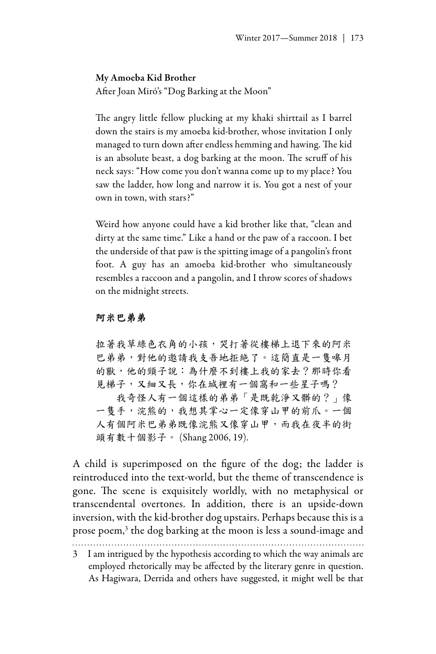#### My Amoeba Kid Brother

After Joan Miró's "Dog Barking at the Moon"

The angry little fellow plucking at my khaki shirttail as I barrel down the stairs is my amoeba kid-brother, whose invitation I only managed to turn down after endless hemming and hawing. The kid is an absolute beast, a dog barking at the moon. The scruff of his neck says: "How come you don't wanna come up to my place? You saw the ladder, how long and narrow it is. You got a nest of your own in town, with stars?"

Weird how anyone could have a kid brother like that, "clean and dirty at the same time." Like a hand or the paw of a raccoon. I bet the underside of that paw is the spitting image of a pangolin's front foot. A guy has an amoeba kid-brother who simultaneously resembles a raccoon and a pangolin, and I throw scores of shadows on the midnight streets.

## 阿米巴弟弟

拉著我草綠色衣角的小孩,哭打著從樓梯上退下來的阿米 巴弟弟,對他的邀請我支吾地拒絶了。這簡直是一隻嗥月 的獸,他的頸子說:為什麼不到樓上我的家去?那時你看 見梯子,又細又長,你在城裡有一個窩和一些星子嗎? 我奇怪人有一個這樣的弟弟「是既乾淨又髒的?」像 一隻手,浣熊的,我想其掌心一定像穿山甲的前爪。一個 人有個阿米巴弟弟既像浣熊又像穿山甲,而我在夜半的街 頭有數十個影子。 (Shang 2006, 19).

A child is superimposed on the figure of the dog; the ladder is reintroduced into the text-world, but the theme of transcendence is gone. The scene is exquisitely worldly, with no metaphysical or transcendental overtones. In addition, there is an upside-down inversion, with the kid-brother dog upstairs. Perhaps because this is a prose poem,<sup>3</sup> the dog barking at the moon is less a sound-image and

3 I am intrigued by the hypothesis according to which the way animals are employed rhetorically may be affected by the literary genre in question. As Hagiwara, Derrida and others have suggested, it might well be that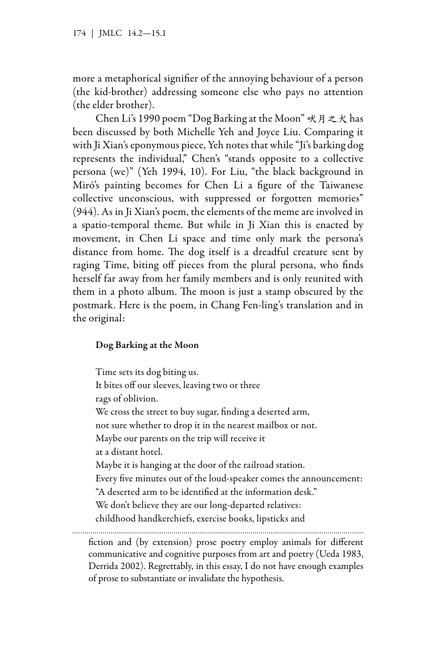more a metaphorical signifier of the annoying behaviour of a person (the kid-brother) addressing someone else who pays no attention (the elder brother).

Chen Li's 1990 poem "Dog Barking at the Moon" 吠月之犬 has been discussed by both Michelle Yeh and Joyce Liu. Comparing it with Ji Xian's eponymous piece, Yeh notes that while "Ji's barking dog represents the individual," Chen's "stands opposite to a collective persona (we)" (Yeh 1994, 10). For Liu, "the black background in Miró's painting becomes for Chen Li a figure of the Taiwanese collective unconscious, with suppressed or forgotten memories" (944). As in Ji Xian's poem, the elements of the meme are involved in a spatio-temporal theme. But while in Ji Xian this is enacted by movement, in Chen Li space and time only mark the persona's distance from home. The dog itself is a dreadful creature sent by raging Time, biting off pieces from the plural persona, who finds herself far away from her family members and is only reunited with them in a photo album. The moon is just a stamp obscured by the postmark. Here is the poem, in Chang Fen-ling's translation and in the original:

## Dog Barking at the Moon

Time sets its dog biting us. It bites off our sleeves, leaving two or three rags of oblivion. We cross the street to buy sugar, finding a deserted arm, not sure whether to drop it in the nearest mailbox or not. Maybe our parents on the trip will receive it at a distant hotel. Maybe it is hanging at the door of the railroad station. Every five minutes out of the loud-speaker comes the announcement: "A deserted arm to be identified at the information desk." We don't believe they are our long-departed relatives: childhood handkerchiefs, exercise books, lipsticks and fiction and (by extension) prose poetry employ animals for different communicative and cognitive purposes from art and poetry (Ueda 1983, Derrida 2002). Regrettably, in this essay, I do not have enough examples of prose to substantiate or invalidate the hypothesis.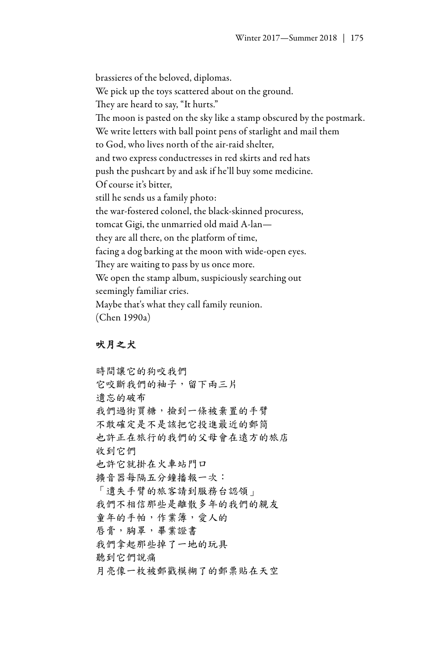brassieres of the beloved, diplomas. We pick up the toys scattered about on the ground. They are heard to say, "It hurts." The moon is pasted on the sky like a stamp obscured by the postmark. We write letters with ball point pens of starlight and mail them to God, who lives north of the air-raid shelter, and two express conductresses in red skirts and red hats push the pushcart by and ask if he'll buy some medicine. Of course it's bitter, still he sends us a family photo: the war-fostered colonel, the black-skinned procuress, tomcat Gigi, the unmarried old maid A-lan they are all there, on the platform of time, facing a dog barking at the moon with wide-open eyes. They are waiting to pass by us once more. We open the stamp album, suspiciously searching out seemingly familiar cries. Maybe that's what they call family reunion. (Chen 1990a)

## 吠月之犬

時間讓它的狗咬我們 它咬斷我們的袖子,留下兩三片 遺忘的破布 我們過街買糖,撿到一條被棄置的手臂 不敢確定是不是該把它投進最近的郵筒 也許正在旅行的我們的父母會在遠方的旅店 收到它們 也許它就掛在火車站門口 擴音器每隔五分鐘播報一次: 「遺失手臂的旅客請到服務台認領」 我們不相信那些是離散多年的我們的親友 童年的手帕,作業簿,愛人的 唇膏,胸罩,畢業證書 我們拿起那些掉了一地的玩具 聽到它們說痛 月亮像一枚被郵戳模糊了的郵票貼在天空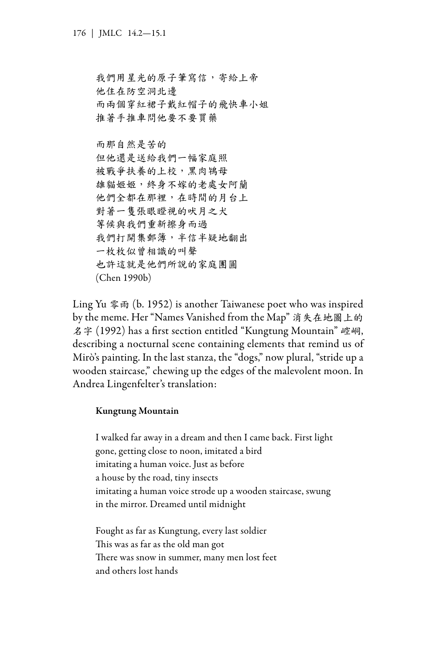我們用星光的原子筆寫信,寄給上帝 他住在防空洞北邊 而兩個穿紅裙子戴紅帽子的飛快車小姐 推著手推車問他要不要買藥

而那自然是苦的 但他還是送給我們一幅家庭照 被戰爭扶養的上校,黑肉鴇母 雄貓姬姬,終身不嫁的老處女阿蘭 他們全都在那裡,在時間的月台上 對著一隻張眼瞪視的吠月之犬 等候與我們重新擦身而過 我們打開集郵簿,半信半疑地翻出 一枚枚似曾相識的叫聲 也許這就是他們所說的家庭團圓 (Chen 1990b)

Ling Yu 零雨 (b. 1952) is another Taiwanese poet who was inspired by the meme. Her "Names Vanished from the Map" 消失在地圖上的 名字 (1992) has a first section entitled "Kungtung Mountain" 崆峒, describing a nocturnal scene containing elements that remind us of Mirò's painting. In the last stanza, the "dogs," now plural, "stride up a wooden staircase," chewing up the edges of the malevolent moon. In Andrea Lingenfelter's translation:

## Kungtung Mountain

I walked far away in a dream and then I came back. First light gone, getting close to noon, imitated a bird imitating a human voice. Just as before a house by the road, tiny insects imitating a human voice strode up a wooden staircase, swung in the mirror. Dreamed until midnight

Fought as far as Kungtung, every last soldier This was as far as the old man got There was snow in summer, many men lost feet and others lost hands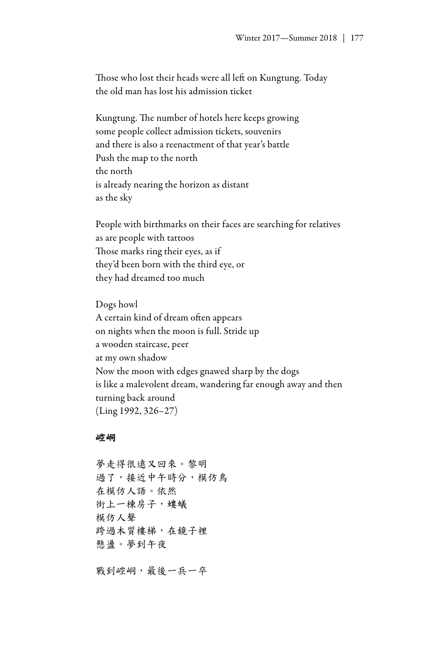Those who lost their heads were all left on Kungtung. Today the old man has lost his admission ticket

Kungtung. The number of hotels here keeps growing some people collect admission tickets, souvenirs and there is also a reenactment of that year's battle Push the map to the north the north is already nearing the horizon as distant as the sky

People with birthmarks on their faces are searching for relatives as are people with tattoos Those marks ring their eyes, as if they'd been born with the third eye, or they had dreamed too much

Dogs howl A certain kind of dream often appears on nights when the moon is full. Stride up a wooden staircase, peer at my own shadow Now the moon with edges gnawed sharp by the dogs is like a malevolent dream, wandering far enough away and then turning back around (Ling 1992, 326–27)

## 崆峒

夢走得很遠又回來。黎明 過了,接近中午時分,模仿鳥 在模仿人語。依然 街上一棟房子,螻蟻 模仿人聲 跨過木質樓梯,在鏡子裡 懸盪。夢到午夜

戰到崆峒,最後一兵一卒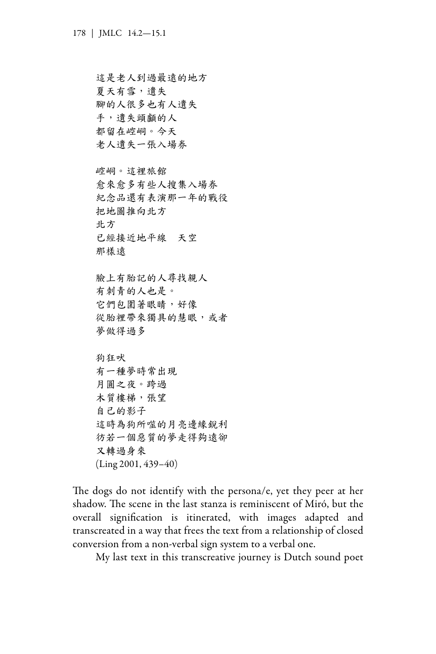這是老人到過最遠的地方 夏天有雪,遺失 腳的人很多也有人遺失 手,遺失頭顱的人 都留在崆峒。今天 老人遺失一張入場券

崆峒。這裡旅館 愈來愈多有些人搜集入場券 紀念品還有表演那一年的戰役 把地圖推向北方 北方 已經接近地平線 天空 那樣遠

臉上有胎記的人尋找親人 有刺青的人也是。 它們包圍著眼睛,好像 從胎裡帶來獨具的慧眼,或者 夢做得過多

狗狂吠 有一種夢時常出現 月圓之夜。跨過 木質樓梯,張望 自己的影子 這時為狗所噬的月亮邊緣銳利 彷若一個惡質的夢走得夠遠卻 又轉過身來 (Ling 2001, 439–40)

The dogs do not identify with the persona/e, yet they peer at her shadow. The scene in the last stanza is reminiscent of Miró, but the overall signification is itinerated, with images adapted and transcreated in a way that frees the text from a relationship of closed conversion from a non-verbal sign system to a verbal one.

My last text in this transcreative journey is Dutch sound poet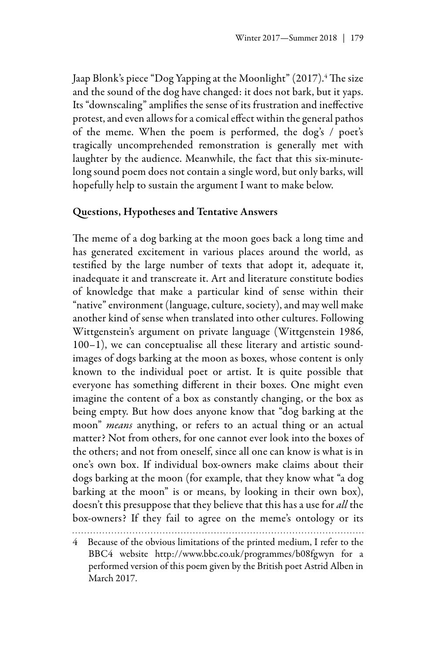Jaap Blonk's piece "Dog Yapping at the Moonlight" (2017).<del>'</del> The size and the sound of the dog have changed: it does not bark, but it yaps. Its "downscaling" amplifies the sense of its frustration and ineffective protest, and even allows for a comical effect within the general pathos of the meme. When the poem is performed, the dog's / poet's tragically uncomprehended remonstration is generally met with laughter by the audience. Meanwhile, the fact that this six-minutelong sound poem does not contain a single word, but only barks, will hopefully help to sustain the argument I want to make below.

## Questions, Hypotheses and Tentative Answers

The meme of a dog barking at the moon goes back a long time and has generated excitement in various places around the world, as testified by the large number of texts that adopt it, adequate it, inadequate it and transcreate it. Art and literature constitute bodies of knowledge that make a particular kind of sense within their "native" environment (language, culture, society), and may well make another kind of sense when translated into other cultures. Following Wittgenstein's argument on private language (Wittgenstein 1986, 100–1), we can conceptualise all these literary and artistic soundimages of dogs barking at the moon as boxes, whose content is only known to the individual poet or artist. It is quite possible that everyone has something different in their boxes. One might even imagine the content of a box as constantly changing, or the box as being empty. But how does anyone know that "dog barking at the moon" *means* anything, or refers to an actual thing or an actual matter? Not from others, for one cannot ever look into the boxes of the others; and not from oneself, since all one can know is what is in one's own box. If individual box-owners make claims about their dogs barking at the moon (for example, that they know what "a dog barking at the moon" is or means, by looking in their own box), doesn't this presuppose that they believe that this has a use for *all* the box-owners? If they fail to agree on the meme's ontology or its

<sup>4</sup> Because of the obvious limitations of the printed medium, I refer to the BBC4 website <http://www.bbc.co.uk/programmes/b08fgwyn> for a performed version of this poem given by the British poet Astrid Alben in March 2017.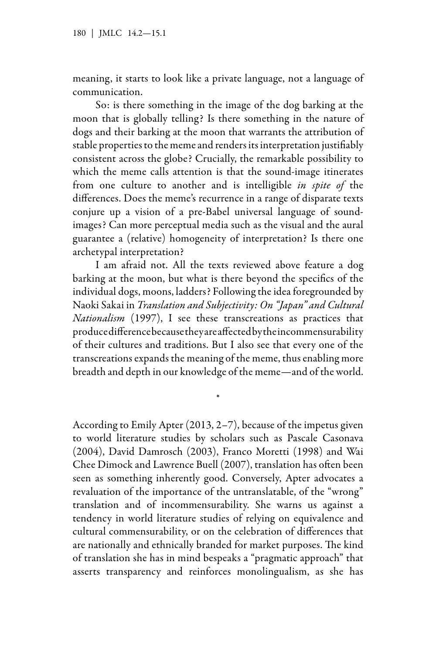meaning, it starts to look like a private language, not a language of communication.

So: is there something in the image of the dog barking at the moon that is globally telling? Is there something in the nature of dogs and their barking at the moon that warrants the attribution of stable properties to the meme and renders its interpretation justifiably consistent across the globe? Crucially, the remarkable possibility to which the meme calls attention is that the sound-image itinerates from one culture to another and is intelligible *in spite of* the differences. Does the meme's recurrence in a range of disparate texts conjure up a vision of a pre-Babel universal language of soundimages? Can more perceptual media such as the visual and the aural guarantee a (relative) homogeneity of interpretation? Is there one archetypal interpretation?

I am afraid not. All the texts reviewed above feature a dog barking at the moon, but what is there beyond the specifics of the individual dogs, moons, ladders? Following the idea foregrounded by Naoki Sakai in *Translation and Subjectivity: On "Japan" and Cultural Nationalism* (1997), I see these transcreations as practices that produce difference because they are affected by the incommensurability of their cultures and traditions. But I also see that every one of the transcreations expands the meaning of the meme, thus enabling more breadth and depth in our knowledge of the meme—and of the world.

\*

According to Emily Apter (2013, 2–7), because of the impetus given to world literature studies by scholars such as Pascale Casonava (2004), David Damrosch (2003), Franco Moretti (1998) and Wai Chee Dimock and Lawrence Buell (2007), translation has often been seen as something inherently good. Conversely, Apter advocates a revaluation of the importance of the untranslatable, of the "wrong" translation and of incommensurability. She warns us against a tendency in world literature studies of relying on equivalence and cultural commensurability, or on the celebration of differences that are nationally and ethnically branded for market purposes. The kind of translation she has in mind bespeaks a "pragmatic approach" that asserts transparency and reinforces monolingualism, as she has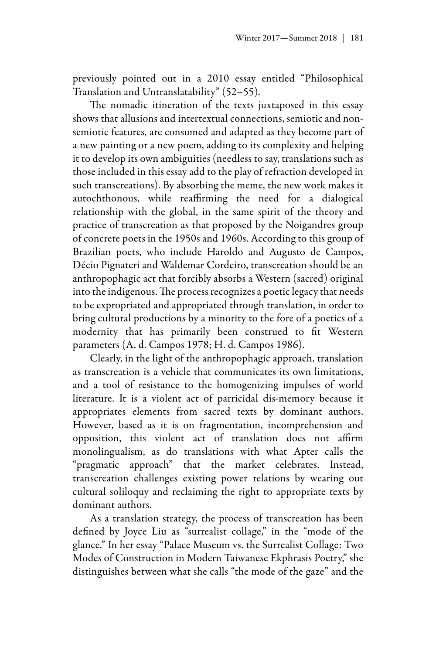previously pointed out in a 2010 essay entitled "Philosophical Translation and Untranslatability" (52–55).

The nomadic itineration of the texts juxtaposed in this essay shows that allusions and intertextual connections, semiotic and nonsemiotic features, are consumed and adapted as they become part of a new painting or a new poem, adding to its complexity and helping it to develop its own ambiguities (needless to say, translations such as those included in this essay add to the play of refraction developed in such transcreations). By absorbing the meme, the new work makes it autochthonous, while reaffirming the need for a dialogical relationship with the global, in the same spirit of the theory and practice of transcreation as that proposed by the Noigandres group of concrete poets in the 1950s and 1960s. According to this group of Brazilian poets, who include Haroldo and Augusto de Campos, Décio Pignateri and Waldemar Cordeiro, transcreation should be an anthropophagic act that forcibly absorbs a Western (sacred) original into the indigenous. The process recognizes a poetic legacy that needs to be expropriated and appropriated through translation, in order to bring cultural productions by a minority to the fore of a poetics of a modernity that has primarily been construed to fit Western parameters (A. d. Campos 1978; H. d. Campos 1986).

Clearly, in the light of the anthropophagic approach, translation as transcreation is a vehicle that communicates its own limitations, and a tool of resistance to the homogenizing impulses of world literature. It is a violent act of parricidal dis-memory because it appropriates elements from sacred texts by dominant authors. However, based as it is on fragmentation, incomprehension and opposition, this violent act of translation does not affirm monolingualism, as do translations with what Apter calls the "pragmatic approach" that the market celebrates. Instead, transcreation challenges existing power relations by wearing out cultural soliloquy and reclaiming the right to appropriate texts by dominant authors.

As a translation strategy, the process of transcreation has been defined by Joyce Liu as "surrealist collage," in the "mode of the glance." In her essay "Palace Museum vs. the Surrealist Collage: Two Modes of Construction in Modern Taiwanese Ekphrasis Poetry," she distinguishes between what she calls "the mode of the gaze" and the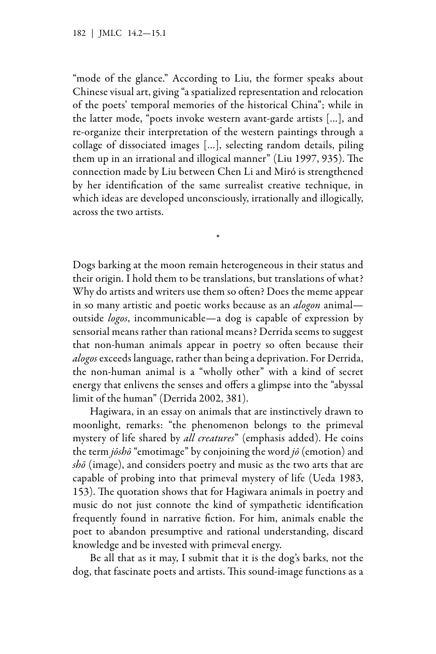"mode of the glance." According to Liu, the former speaks about Chinese visual art, giving "a spatialized representation and relocation of the poets' temporal memories of the historical China"; while in the latter mode, "poets invoke western avant-garde artists […], and re-organize their interpretation of the western paintings through a collage of dissociated images […], selecting random details, piling them up in an irrational and illogical manner" (Liu 1997, 935). The connection made by Liu between Chen Li and Miró is strengthened by her identification of the same surrealist creative technique, in which ideas are developed unconsciously, irrationally and illogically, across the two artists.

\*

Dogs barking at the moon remain heterogeneous in their status and their origin. I hold them to be translations, but translations of what? Why do artists and writers use them so often? Does the meme appear in so many artistic and poetic works because as an *alogon* animal outside *logos*, incommunicable—a dog is capable of expression by sensorial means rather than rational means? Derrida seems to suggest that non-human animals appear in poetry so often because their *alogos* exceeds language, rather than being a deprivation. For Derrida, the non-human animal is a "wholly other" with a kind of secret energy that enlivens the senses and offers a glimpse into the "abyssal limit of the human" (Derrida 2002, 381).

Hagiwara, in an essay on animals that are instinctively drawn to moonlight, remarks: "the phenomenon belongs to the primeval mystery of life shared by *all creatures*" (emphasis added). He coins the term *jōshō* "emotimage" by conjoining the word *jō* (emotion) and *shō* (image), and considers poetry and music as the two arts that are capable of probing into that primeval mystery of life (Ueda 1983, 153). The quotation shows that for Hagiwara animals in poetry and music do not just connote the kind of sympathetic identification frequently found in narrative fiction. For him, animals enable the poet to abandon presumptive and rational understanding, discard knowledge and be invested with primeval energy.

Be all that as it may, I submit that it is the dog's barks, not the dog, that fascinate poets and artists. This sound-image functions as a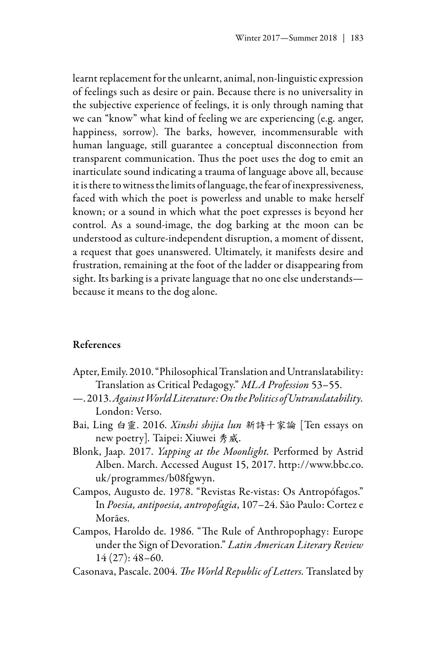learnt replacement for the unlearnt, animal, non-linguistic expression of feelings such as desire or pain. Because there is no universality in the subjective experience of feelings, it is only through naming that we can "know" what kind of feeling we are experiencing (e.g. anger, happiness, sorrow). The barks, however, incommensurable with human language, still guarantee a conceptual disconnection from transparent communication. Thus the poet uses the dog to emit an inarticulate sound indicating a trauma of language above all, because it is there to witness the limits of language, the fear of inexpressiveness, faced with which the poet is powerless and unable to make herself known; or a sound in which what the poet expresses is beyond her control. As a sound-image, the dog barking at the moon can be understood as culture-independent disruption, a moment of dissent, a request that goes unanswered. Ultimately, it manifests desire and frustration, remaining at the foot of the ladder or disappearing from sight. Its barking is a private language that no one else understands because it means to the dog alone.

## References

- Apter, Emily. 2010. "Philosophical Translation and Untranslatability: Translation as Critical Pedagogy." *MLA Profession* 53–55.
- —. 2013. *Against World Literature: On the Politics of Untranslatability.* London: Verso.
- Bai, Ling 白靈. 2016. *Xinshi shijia lun* 新詩十家論 [Ten essays on new poetry]*.* Taipei: Xiuwei 秀威.
- Blonk, Jaap. 2017. *Yapping at the Moonlight.* Performed by Astrid Alben. March. Accessed August 15, 2017. http://www.bbc.co. uk/programmes/b08fgwyn.
- Campos, Augusto de. 1978. "Revistas Re-vistas: Os Antropófagos." In *Poesia, antipoesia, antropofagia*, 107–24. São Paulo: Cortez e Morães.
- Campos, Haroldo de. 1986. "The Rule of Anthropophagy: Europe under the Sign of Devoration." *Latin American Literary Review* 14 (27): 48–60.
- Casonava, Pascale. 2004. *The World Republic of Letters.* Translated by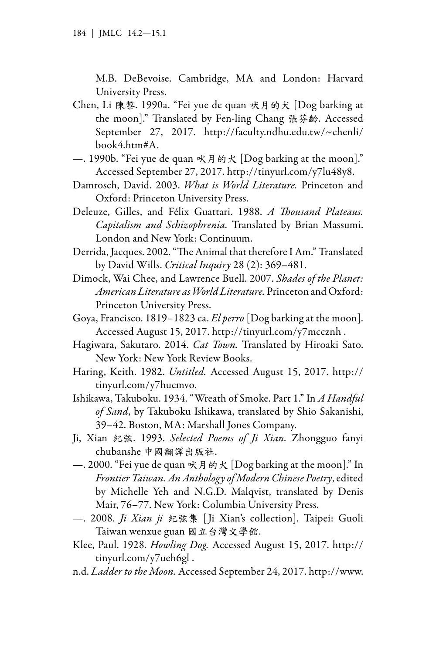M.B. DeBevoise. Cambridge, MA and London: Harvard University Press.

- Chen, Li 陳黎. 1990a. "Fei yue de quan 吠月的犬 [Dog barking at the moon]." Translated by Fen-ling Chang 張芬齡. Accessed September 27, 2017. http://faculty.ndhu.edu.tw/~chenli/ book4.htm#A.
- —. 1990b. "Fei yue de quan 吠月的犬 [Dog barking at the moon]." Accessed September 27, 2017. http://tinyurl.com/y7lu48y8.
- Damrosch, David. 2003. *What is World Literature.* Princeton and Oxford: Princeton University Press.
- Deleuze, Gilles, and Félix Guattari. 1988. *A Thousand Plateaus. Capitalism and Schizophrenia.* Translated by Brian Massumi. London and New York: Continuum.
- Derrida, Jacques. 2002. "The Animal that therefore I Am." Translated by David Wills. *Critical Inquiry* 28 (2): 369–481.
- Dimock, Wai Chee, and Lawrence Buell. 2007. *Shades of the Planet: American Literature as World Literature.* Princeton and Oxford: Princeton University Press.
- Goya, Francisco. 1819–1823 ca. *El perro* [Dog barking at the moon]. Accessed August 15, 2017. http://tinyurl.com/y7mccznh .
- Hagiwara, Sakutaro. 2014. *Cat Town.* Translated by Hiroaki Sato. New York: New York Review Books.
- Haring, Keith. 1982. *Untitled.* Accessed August 15, 2017. http:// tinyurl.com/y7hucmvo.
- Ishikawa, Takuboku. 1934. "Wreath of Smoke. Part 1." In *A Handful of Sand*, by Takuboku Ishikawa, translated by Shio Sakanishi, 39–42. Boston, MA: Marshall Jones Company.
- Ji, Xian 紀弦. 1993. *Selected Poems of Ji Xian.* Zhongguo fanyi chubanshe 中國翻譯出版社.
- —. 2000. "Fei yue de quan 吠月的犬 [Dog barking at the moon]." In *Frontier Taiwan. An Anthology of Modern Chinese Poetry*, edited by Michelle Yeh and N.G.D. Malqvist, translated by Denis Mair, 76–77. New York: Columbia University Press.
- —. 2008. *Ji Xian ji* 紀弦集 [ Ji Xian's collection]. Taipei: Guoli Taiwan wenxue guan 國立台灣文學館.
- Klee, Paul. 1928. *Howling Dog.* Accessed August 15, 2017. http:// tinyurl.com/y7ueh6gl .
- n.d. *Ladder to the Moon.* Accessed September 24, 2017. http://www.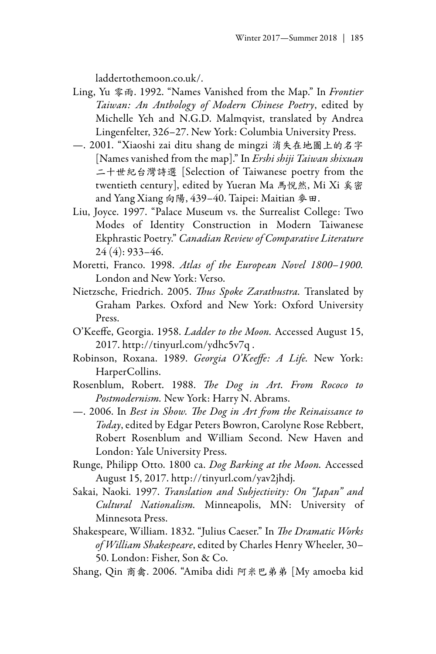laddertothemoon.co.uk/.

- Ling, Yu 零雨. 1992. "Names Vanished from the Map." In *Frontier Taiwan: An Anthology of Modern Chinese Poetry*, edited by Michelle Yeh and N.G.D. Malmqvist, translated by Andrea Lingenfelter, 326–27. New York: Columbia University Press.
- —. 2001. "Xiaoshi zai ditu shang de mingzi 消失在地圖上的名字 [Names vanished from the map]." In *Ershi shiji Taiwan shixuan*  二十世紀台灣詩選 [Selection of Taiwanese poetry from the twentieth century], edited by Yueran Ma 馬悅然, Mi Xi 奚密 and Yang Xiang 向陽, 439–40. Taipei: Maitian 麥田.
- Liu, Joyce. 1997. "Palace Museum vs. the Surrealist College: Two Modes of Identity Construction in Modern Taiwanese Ekphrastic Poetry." *Canadian Review of Comparative Literature* 24 (4): 933–46.
- Moretti, Franco. 1998. *Atlas of the European Novel 1800–1900.* London and New York: Verso.
- Nietzsche, Friedrich. 2005. *Thus Spoke Zarathustra.* Translated by Graham Parkes. Oxford and New York: Oxford University Press.
- O'Keeffe, Georgia. 1958. *Ladder to the Moon.* Accessed August 15, 2017. http://tinyurl.com/ydhc5v7q .
- Robinson, Roxana. 1989. *Georgia O'Keeffe: A Life.* New York: HarperCollins.
- Rosenblum, Robert. 1988. *The Dog in Art. From Rococo to Postmodernism.* New York: Harry N. Abrams.
- —. 2006. In *Best in Show. The Dog in Art from the Reinaissance to Today*, edited by Edgar Peters Bowron, Carolyne Rose Rebbert, Robert Rosenblum and William Second. New Haven and London: Yale University Press.
- Runge, Philipp Otto. 1800 ca. *Dog Barking at the Moon.* Accessed August 15, 2017. http://tinyurl.com/yav2jhdj.
- Sakai, Naoki. 1997. *Translation and Subjectivity: On "Japan" and Cultural Nationalism.* Minneapolis, MN: University of Minnesota Press.
- Shakespeare, William. 1832. "Julius Caeser." In *The Dramatic Works of William Shakespeare*, edited by Charles Henry Wheeler, 30– 50. London: Fisher, Son & Co.
- Shang, Qin 商禽. 2006. "Amiba didi 阿米巴弟弟 [My amoeba kid